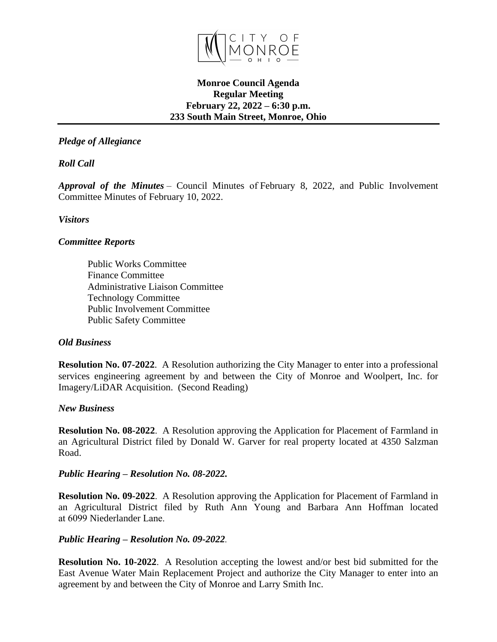

### **Monroe Council Agenda Regular Meeting February 22, 2022 – 6:30 p.m. 233 South Main Street, Monroe, Ohio**

# *Pledge of Allegiance*

*Roll Call*

*Approval of the Minutes* – Council Minutes of February 8, 2022, and Public Involvement Committee Minutes of February 10, 2022.

*Visitors*

## *Committee Reports*

Public Works Committee Finance Committee Administrative Liaison Committee Technology Committee Public Involvement Committee Public Safety Committee

#### *Old Business*

**Resolution No. 07-2022**. A Resolution authorizing the City Manager to enter into a professional services engineering agreement by and between the City of Monroe and Woolpert, Inc. for Imagery/LiDAR Acquisition. (Second Reading)

#### *New Business*

**Resolution No. 08-2022**. A Resolution approving the Application for Placement of Farmland in an Agricultural District filed by Donald W. Garver for real property located at 4350 Salzman Road.

#### *Public Hearing – Resolution No. 08-2022.*

**Resolution No. 09-2022**. A Resolution approving the Application for Placement of Farmland in an Agricultural District filed by Ruth Ann Young and Barbara Ann Hoffman located at 6099 Niederlander Lane.

#### *Public Hearing – Resolution No. 09-2022.*

**Resolution No. 10-2022**. A Resolution accepting the lowest and/or best bid submitted for the East Avenue Water Main Replacement Project and authorize the City Manager to enter into an agreement by and between the City of Monroe and Larry Smith Inc.